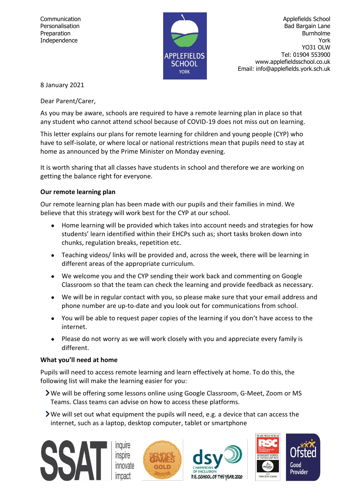

Communication **Applefields School** Personalisation **Bad Bargain Lane** Preparation **Burnholme** Independence York **York** York **York** YO31 OLW Tel: 01904 553900 www.applefieldsschool.co.uk Email: info@applefields.york.sch.uk

8 January 2021

Dear Parent/Carer,

As you may be aware, schools are required to have a remote learning plan in place so that any student who cannot attend school because of COVID-19 does not miss out on learning.

This letter explains our plans for remote learning for children and young people (CYP) who have to self-isolate, or where local or national restrictions mean that pupils need to stay at home as announced by the Prime Minister on Monday evening.

It is worth sharing that all classes have students in school and therefore we are working on getting the balance right for everyone.

# **Our remote learning plan**

Our remote learning plan has been made with our pupils and their families in mind. We believe that this strategy will work best for the CYP at our school.

- Home learning will be provided which takes into account needs and strategies for how students' learn identified within their EHCPs such as; short tasks broken down into chunks, regulation breaks, repetition etc.
- Teaching videos/ links will be provided and, across the week, there will be learning in different areas of the appropriate curriculum.
- We welcome you and the CYP sending their work back and commenting on Google Classroom so that the team can check the learning and provide feedback as necessary.
- We will be in regular contact with you, so please make sure that your email address and phone number are up-to-date and you look out for communications from school.
- You will be able to request paper copies of the learning if you don't have access to the internet.
- Please do not worry as we will work closely with you and appreciate every family is different.

# **What you'll need at home**

Pupils will need to access remote learning and learn effectively at home. To do this, the following list will make the learning easier for you:

- We will be offering some lessons online using Google Classroom, G-Meet, Zoom or MS Teams. Class teams can advise on how to access these platforms.
- We will set out what equipment the pupils will need, e.g. a device that can access the internet, such as a laptop, desktop computer, tablet or smartphone

**Inquire** inspire innovate





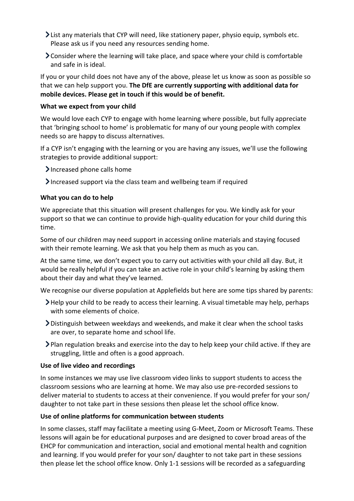- List any materials that CYP will need, like stationery paper, physio equip, symbols etc. Please ask us if you need any resources sending home.
- Consider where the learning will take place, and space where your child is comfortable and safe in is ideal.

If you or your child does not have any of the above, please let us know as soon as possible so that we can help support you. **The DfE are currently supporting with additional data for mobile devices. Please get in touch if this would be of benefit.**

### **What we expect from your child**

We would love each CYP to engage with home learning where possible, but fully appreciate that 'bringing school to home' is problematic for many of our young people with complex needs so are happy to discuss alternatives.

If a CYP isn't engaging with the learning or you are having any issues, we'll use the following strategies to provide additional support:

Increased phone calls home

Increased support via the class team and wellbeing team if required

### **What you can do to help**

We appreciate that this situation will present challenges for you. We kindly ask for your support so that we can continue to provide high-quality education for your child during this time.

Some of our children may need support in accessing online materials and staying focused with their remote learning. We ask that you help them as much as you can.

At the same time, we don't expect you to carry out activities with your child all day. But, it would be really helpful if you can take an active role in your child's learning by asking them about their day and what they've learned.

We recognise our diverse population at Applefields but here are some tips shared by parents:

- Help your child to be ready to access their learning. A visual timetable may help, perhaps with some elements of choice.
- Distinguish between weekdays and weekends, and make it clear when the school tasks are over, to separate home and school life.
- Plan regulation breaks and exercise into the day to help keep your child active. If they are struggling, little and often is a good approach.

#### **Use of live video and recordings**

In some instances we may use live classroom video links to support students to access the classroom sessions who are learning at home. We may also use pre-recorded sessions to deliver material to students to access at their convenience. If you would prefer for your son/ daughter to not take part in these sessions then please let the school office know.

# **Use of online platforms for communication between students**

In some classes, staff may facilitate a meeting using G-Meet, Zoom or Microsoft Teams. These lessons will again be for educational purposes and are designed to cover broad areas of the EHCP for communication and interaction, social and emotional mental health and cognition and learning. If you would prefer for your son/ daughter to not take part in these sessions then please let the school office know. Only 1-1 sessions will be recorded as a safeguarding